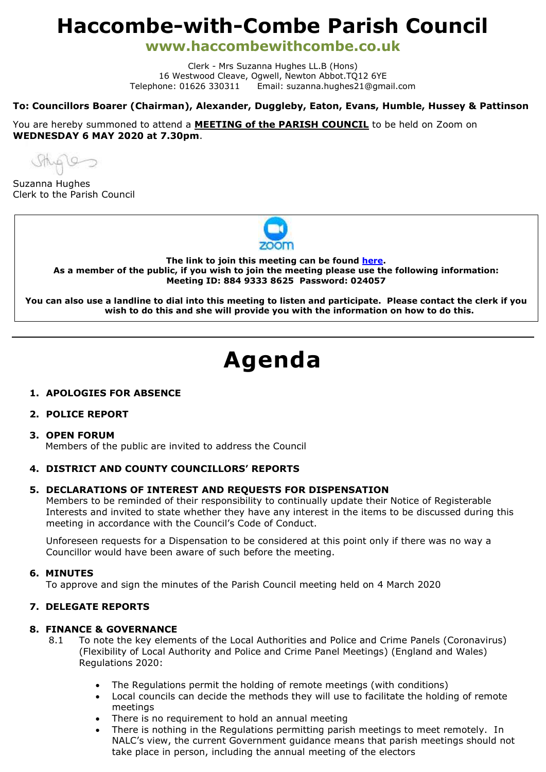# **Haccombe-with-Combe Parish Council**

**www.haccombewithcombe.co.uk**

Clerk - Mrs Suzanna Hughes LL.B (Hons) 16 Westwood Cleave, Ogwell, Newton Abbot.TQ12 6YE Telephone: 01626 330311 Email: suzanna.hughes21@gmail.com

# **To: Councillors Boarer (Chairman), Alexander, Duggleby, Eaton, Evans, Humble, Hussey & Pattinson**

You are hereby summoned to attend a **MEETING of the PARISH COUNCIL** to be held on Zoom on **WEDNESDAY 6 MAY 2020 at 7.30pm**.

Sthister

Suzanna Hughes Clerk to the Parish Council



**The link to join this meeting can be found [here.](https://us02web.zoom.us/j/88493338625?pwd=WGZTNWhuV3BlZmNTUUF4d1o4VUJSdz09) As a member of the public, if you wish to join the meeting please use the following information: Meeting ID: 884 9333 8625 Password: 024057**

**You can also use a landline to dial into this meeting to listen and participate. Please contact the clerk if you wish to do this and she will provide you with the information on how to do this.**

# **Agenda**

# **1. APOLOGIES FOR ABSENCE**

# **2. POLICE REPORT**

#### **3. OPEN FORUM**

Members of the public are invited to address the Council

# **4. DISTRICT AND COUNTY COUNCILLORS' REPORTS**

#### **5. DECLARATIONS OF INTEREST AND REQUESTS FOR DISPENSATION**

Members to be reminded of their responsibility to continually update their Notice of Registerable Interests and invited to state whether they have any interest in the items to be discussed during this meeting in accordance with the Council's Code of Conduct.

Unforeseen requests for a Dispensation to be considered at this point only if there was no way a Councillor would have been aware of such before the meeting.

#### **6. MINUTES**

To approve and sign the minutes of the Parish Council meeting held on 4 March 2020

# **7. DELEGATE REPORTS**

#### **8. FINANCE & GOVERNANCE**

- 8.1 To note the key elements of the Local Authorities and Police and Crime Panels (Coronavirus) (Flexibility of Local Authority and Police and Crime Panel Meetings) (England and Wales) Regulations 2020:
	- The Regulations permit the holding of remote meetings (with conditions)
	- Local councils can decide the methods they will use to facilitate the holding of remote meetings
	- There is no requirement to hold an annual meeting
	- There is nothing in the Regulations permitting parish meetings to meet remotely. In NALC's view, the current Government guidance means that parish meetings should not take place in person, including the annual meeting of the electors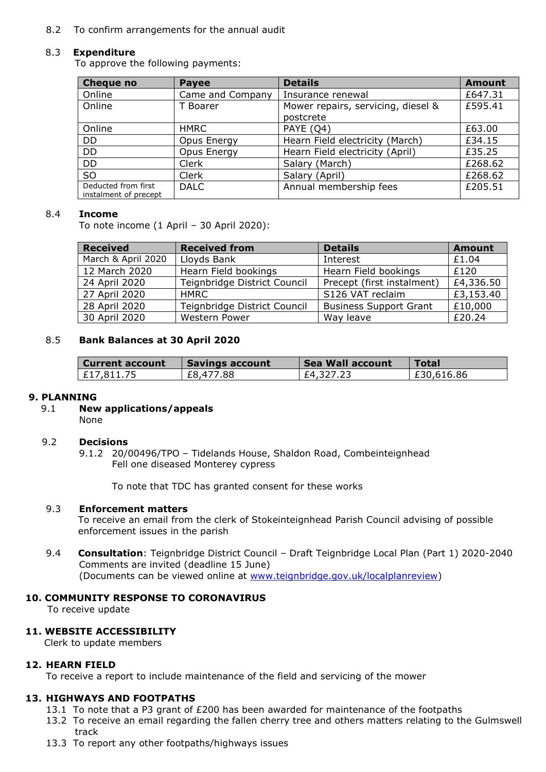#### 8.2 To confirm arrangements for the annual audit

#### 8.3 **Expenditure**

To approve the following payments:

| <b>Cheque no</b>                             | <b>Payee</b>     | <b>Details</b>                                  | <b>Amount</b> |
|----------------------------------------------|------------------|-------------------------------------------------|---------------|
| Online                                       | Came and Company | Insurance renewal                               | £647.31       |
| Online                                       | T Boarer         | Mower repairs, servicing, diesel &<br>postcrete | £595.41       |
| Online                                       | HMRC             | PAYE (O4)                                       | £63.00        |
| DD                                           | Opus Energy      | Hearn Field electricity (March)                 | £34.15        |
| <b>DD</b>                                    | Opus Energy      | Hearn Field electricity (April)                 | £35.25        |
| <b>DD</b>                                    | Clerk            | Salary (March)                                  | £268.62       |
| SO.                                          | Clerk            | Salary (April)                                  | £268.62       |
| Deducted from first<br>instalment of precept | <b>DALC</b>      | Annual membership fees                          | £205.51       |

#### 8.4 **Income**

To note income (1 April – 30 April 2020):

| <b>Received</b>    | <b>Received from</b>         | <b>Details</b>                | <b>Amount</b> |
|--------------------|------------------------------|-------------------------------|---------------|
| March & April 2020 | Lloyds Bank                  | Interest                      | £1.04         |
| 12 March 2020      | Hearn Field bookings         | Hearn Field bookings          | £120          |
| 24 April 2020      | Teignbridge District Council | Precept (first instalment)    | £4,336.50     |
| 27 April 2020      | <b>HMRC</b>                  | S126 VAT reclaim              | £3,153.40     |
| 28 April 2020      | Teignbridge District Council | <b>Business Support Grant</b> | £10,000       |
| 30 April 2020      | Western Power                | Way leave                     | £20.24        |

# 8.5 **Bank Balances at 30 April 2020**

| Current account | Savings account | <b>Sea Wall account</b> | <b>Total</b> |
|-----------------|-----------------|-------------------------|--------------|
| E17,811.75      | £8,477.88       | £4,327.23               | E30,616.86   |

#### **9. PLANNING**

9.1 **New applications/appeals** None

#### 9.2 **Decisions**

9.1.2 20/00496/TPO – Tidelands House, Shaldon Road, Combeinteignhead Fell one diseased Monterey cypress

To note that TDC has granted consent for these works

#### 9.3 **Enforcement matters**

To receive an email from the clerk of Stokeinteignhead Parish Council advising of possible enforcement issues in the parish

9.4 **Consultation**: Teignbridge District Council – Draft Teignbridge Local Plan (Part 1) 2020-2040 Comments are invited (deadline 15 June) (Documents can be viewed online at [www.teignbridge.gov.uk/localplanreview\)](www.teignbridge.gov.uk/localplanreview)

#### **10. COMMUNITY RESPONSE TO CORONAVIRUS**

To receive update

#### **11. WEBSITE ACCESSIBILITY**

Clerk to update members

#### **12. HEARN FIELD**

To receive a report to include maintenance of the field and servicing of the mower

# **13. HIGHWAYS AND FOOTPATHS**

- 13.1 To note that a P3 grant of £200 has been awarded for maintenance of the footpaths
- 13.2 To receive an email regarding the fallen cherry tree and others matters relating to the Gulmswell track
- 13.3 To report any other footpaths/highways issues